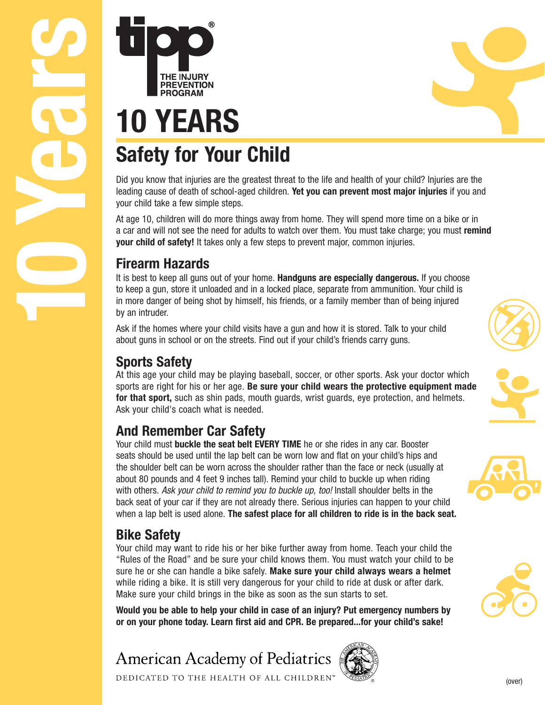DEDICATED TO THE HEALTH OF ALL CHILDREN"

**American Academy of Pediatrics** 

# **10 YEARS**<br> **10 YEARS**<br> **10 YEARS**<br> **50 <b>FREVENTION**<br>
Did you know that injuries are the<br>
leading cause of death of school-a<br>
your child take a few simple steps<br>
At age 10, children will do more the<br>
a car and will n

# **Safety for Your Child**

Did you know that injuries are the greatest threat to the life and health of your child? Injuries are the leading cause of death of school-aged children. **Yet you can prevent most major injuries** if you and your child take a few simple steps.

At age 10, children will do more things away from home. They will spend more time on a bike or in a car and will not see the need for adults to watch over them. You must take charge; you must **remind your child of safety!** It takes only a few steps to prevent major, common injuries.

## **Firearm Hazards**

It is best to keep all guns out of your home. **Handguns are especially dangerous.** If you choose to keep a gun, store it unloaded and in a locked place, separate from ammunition. Your child is in more danger of being shot by himself, his friends, or a family member than of being injured by an intruder.

Ask if the homes where your child visits have a gun and how it is stored. Talk to your child about guns in school or on the streets. Find out if your child's friends carry guns.

## **Sports Safety**

At this age your child may be playing baseball, soccer, or other sports. Ask your doctor which sports are right for his or her age. **Be sure your child wears the protective equipment made for that sport,** such as shin pads, mouth guards, wrist guards, eye protection, and helmets. Ask your child's coach what is needed.

## **And Remember Car Safety**

Your child must **buckle the seat belt EVERY TIME** he or she rides in any car. Booster seats should be used until the lap belt can be worn low and flat on your child's hips and the shoulder belt can be worn across the shoulder rather than the face or neck (usually at about 80 pounds and 4 feet 9 inches tall). Remind your child to buckle up when riding with others. Ask your child to remind you to buckle up, too! Install shoulder belts in the back seat of your car if they are not already there. Serious injuries can happen to your child when a lap belt is used alone. **The safest place for all children to ride is in the back seat.**

## **Bike Safety**

Your child may want to ride his or her bike further away from home. Teach your child the "Rules of the Road" and be sure your child knows them. You must watch your child to be sure he or she can handle a bike safely. **Make sure your child always wears a helmet** while riding a bike. It is still very dangerous for your child to ride at dusk or after dark. Make sure your child brings in the bike as soon as the sun starts to set.

**Would you be able to help your child in case of an injury? Put emergency numbers by or on your phone today. Learn first aid and CPR. Be prepared...for your child's sake!**